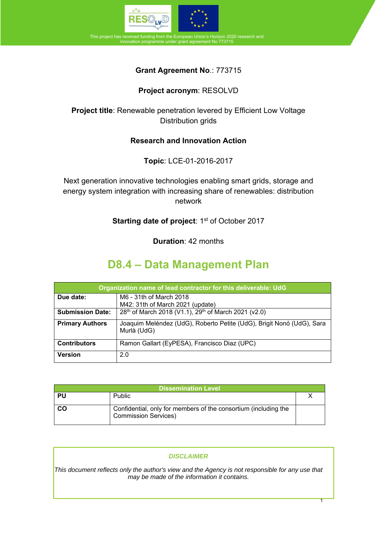

This project has received funding from the European Union's Horizon 2020 research and ment No 773715

### **Grant Agreement No**.: 773715

### **Project acronym**: RESOLVD

**Project title**: Renewable penetration levered by Efficient Low Voltage Distribution grids

### **Research and Innovation Action**

**Topic**: LCE-01-2016-2017

Next generation innovative technologies enabling smart grids, storage and energy system integration with increasing share of renewables: distribution network

**Starting date of project: 1st of October 2017** 

**Duration**: 42 months

# **D8.4 – Data Management Plan**

| Organization name of lead contractor for this deliverable: UdG |                                                                                      |  |  |  |  |  |  |
|----------------------------------------------------------------|--------------------------------------------------------------------------------------|--|--|--|--|--|--|
| Due date:                                                      | M6 - 31th of March 2018<br>M42: 31th of March 2021 (update)                          |  |  |  |  |  |  |
| <b>Submission Date:</b>                                        | 28 <sup>th</sup> of March 2018 (V1.1), 29 <sup>th</sup> of March 2021 (v2.0)         |  |  |  |  |  |  |
| <b>Primary Authors</b>                                         | Joaquim Meléndez (UdG), Roberto Petite (UdG), Brigit Nonó (UdG), Sara<br>Murlà (UdG) |  |  |  |  |  |  |
| <b>Contributors</b>                                            | Ramon Gallart (EyPESA), Francisco Diaz (UPC)                                         |  |  |  |  |  |  |
| <b>Version</b>                                                 | 2.0                                                                                  |  |  |  |  |  |  |

| Dissemination Level |                                                                                                |  |  |  |  |  |
|---------------------|------------------------------------------------------------------------------------------------|--|--|--|--|--|
| PU                  | <b>Public</b>                                                                                  |  |  |  |  |  |
| <b>CO</b>           | Confidential, only for members of the consortium (including the<br><b>Commission Services)</b> |  |  |  |  |  |

#### *DISCLAIMER*

*This document reflects only the author's view and the Agency is not responsible for any use that may be made of the information it contains.*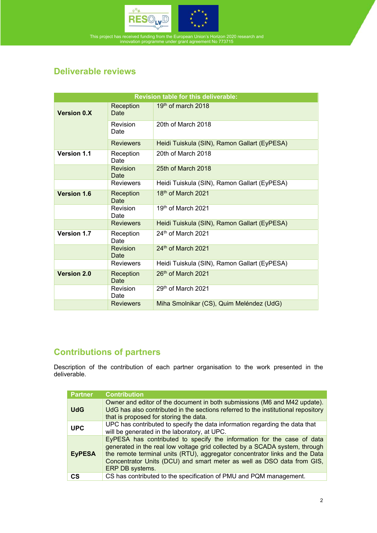

# **Deliverable reviews**

| <b>Revision table for this deliverable:</b> |                         |                                              |  |  |  |  |  |  |
|---------------------------------------------|-------------------------|----------------------------------------------|--|--|--|--|--|--|
| <b>Version 0.X</b>                          | Reception<br>Date       | $19th$ of march 2018                         |  |  |  |  |  |  |
|                                             | Revision<br>Date        | 20th of March 2018                           |  |  |  |  |  |  |
|                                             | <b>Reviewers</b>        | Heidi Tuiskula (SIN), Ramon Gallart (EyPESA) |  |  |  |  |  |  |
| <b>Version 1.1</b>                          | Reception<br>Date       | 20th of March 2018                           |  |  |  |  |  |  |
|                                             | <b>Revision</b><br>Date | 25th of March 2018                           |  |  |  |  |  |  |
|                                             | <b>Reviewers</b>        | Heidi Tuiskula (SIN), Ramon Gallart (EyPESA) |  |  |  |  |  |  |
| <b>Version 1.6</b>                          | Reception<br>Date       | 18 <sup>th</sup> of March 2021               |  |  |  |  |  |  |
|                                             | Revision<br>Date        | 19 <sup>th</sup> of March 2021               |  |  |  |  |  |  |
|                                             | <b>Reviewers</b>        | Heidi Tuiskula (SIN), Ramon Gallart (EyPESA) |  |  |  |  |  |  |
| Version 1.7                                 | Reception<br>Date       | 24th of March 2021                           |  |  |  |  |  |  |
|                                             | Revision<br>Date        | $24th$ of March 2021                         |  |  |  |  |  |  |
|                                             | <b>Reviewers</b>        | Heidi Tuiskula (SIN), Ramon Gallart (EyPESA) |  |  |  |  |  |  |
| <b>Version 2.0</b>                          | Reception<br>Date       | 26 <sup>th</sup> of March 2021               |  |  |  |  |  |  |
|                                             | Revision<br>Date        | 29th of March 2021                           |  |  |  |  |  |  |
|                                             | <b>Reviewers</b>        | Miha Smolnikar (CS), Quim Meléndez (UdG)     |  |  |  |  |  |  |

# **Contributions of partners**

Description of the contribution of each partner organisation to the work presented in the deliverable.

| <b>Partner</b> | <b>Contribution</b>                                                                                                                                                                                                                                                                                                               |
|----------------|-----------------------------------------------------------------------------------------------------------------------------------------------------------------------------------------------------------------------------------------------------------------------------------------------------------------------------------|
| <b>UdG</b>     | Owner and editor of the document in both submissions (M6 and M42 update).<br>UdG has also contributed in the sections referred to the institutional repository<br>that is proposed for storing the data.                                                                                                                          |
| <b>UPC</b>     | UPC has contributed to specify the data information regarding the data that<br>will be generated in the laboratory, at UPC.                                                                                                                                                                                                       |
| <b>EyPESA</b>  | EyPESA has contributed to specify the information for the case of data<br>generated in the real low voltage grid collected by a SCADA system, through<br>the remote terminal units (RTU), aggregator concentrator links and the Data<br>Concentrator Units (DCU) and smart meter as well as DSO data from GIS,<br>ERP DB systems. |
| СS             | CS has contributed to the specification of PMU and PQM management.                                                                                                                                                                                                                                                                |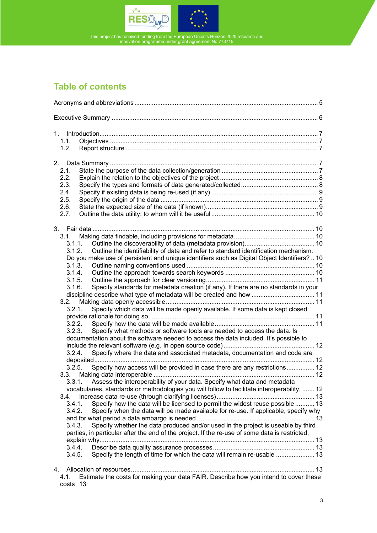

# **Table of contents**

| 1. |                                                                                                                                                                             |  |
|----|-----------------------------------------------------------------------------------------------------------------------------------------------------------------------------|--|
|    | 1.1.                                                                                                                                                                        |  |
|    | 1.2.                                                                                                                                                                        |  |
| 2. |                                                                                                                                                                             |  |
|    | 2.1.                                                                                                                                                                        |  |
|    | 2.2.                                                                                                                                                                        |  |
|    | 2.3.                                                                                                                                                                        |  |
|    | 2.4.                                                                                                                                                                        |  |
|    | 2.5.                                                                                                                                                                        |  |
|    | 2.6.                                                                                                                                                                        |  |
|    | 2.7.                                                                                                                                                                        |  |
|    |                                                                                                                                                                             |  |
|    | $3.1 -$                                                                                                                                                                     |  |
|    | 3.1.1.                                                                                                                                                                      |  |
|    | 3.1.2.<br>Outline the identifiability of data and refer to standard identification mechanism.                                                                               |  |
|    | Do you make use of persistent and unique identifiers such as Digital Object Identifiers?  10                                                                                |  |
|    | 3.1.3.                                                                                                                                                                      |  |
|    | 3.1.4.                                                                                                                                                                      |  |
|    | 3.1.5.                                                                                                                                                                      |  |
|    | Specify standards for metadata creation (if any). If there are no standards in your<br>3.1.6.                                                                               |  |
|    | discipline describe what type of metadata will be created and how  11                                                                                                       |  |
|    | 3.2.                                                                                                                                                                        |  |
|    | Specify which data will be made openly available. If some data is kept closed<br>3.2.1.                                                                                     |  |
|    |                                                                                                                                                                             |  |
|    | 3.2.2.                                                                                                                                                                      |  |
|    | 3.2.3.<br>Specify what methods or software tools are needed to access the data. Is<br>documentation about the software needed to access the data included. It's possible to |  |
|    |                                                                                                                                                                             |  |
|    | Specify where the data and associated metadata, documentation and code are<br>3.2.4.                                                                                        |  |
|    |                                                                                                                                                                             |  |
|    | Specify how access will be provided in case there are any restrictions 12<br>3.2.5.                                                                                         |  |
|    |                                                                                                                                                                             |  |
|    | 3.3.1. Assess the interoperability of your data. Specify what data and metadata                                                                                             |  |
|    | vocabularies, standards or methodologies you will follow to facilitate interoperability.  12                                                                                |  |
|    | 3.4.                                                                                                                                                                        |  |
|    | Specify how the data will be licensed to permit the widest reuse possible  13<br>3.4.1.                                                                                     |  |
|    | Specify when the data will be made available for re-use. If applicable, specify why<br>3.4.2.                                                                               |  |
|    |                                                                                                                                                                             |  |
|    | Specify whether the data produced and/or used in the project is useable by third<br>3.4.3.                                                                                  |  |
|    | parties, in particular after the end of the project. If the re-use of some data is restricted,                                                                              |  |
|    |                                                                                                                                                                             |  |
|    | 3.4.4.                                                                                                                                                                      |  |
|    | Specify the length of time for which the data will remain re-usable  13<br>3.4.5.                                                                                           |  |
| 4. |                                                                                                                                                                             |  |
|    | Estimate the costs for making your data FAIR. Describe how you intend to cover these<br>4.1.                                                                                |  |
|    | 13<br>costs                                                                                                                                                                 |  |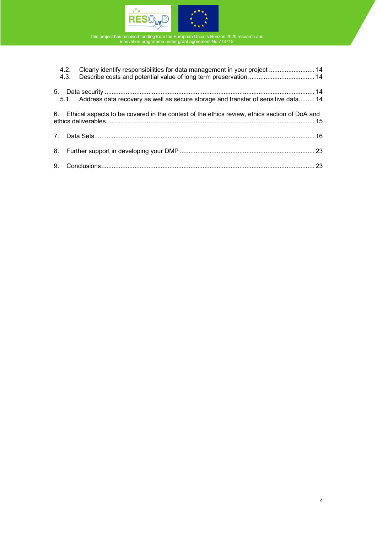

|  | 4.2. Clearly identify responsibilities for data management in your project  14<br>4.3. Describe costs and potential value of long term preservation 14 |  |
|--|--------------------------------------------------------------------------------------------------------------------------------------------------------|--|
|  | 5.1. Address data recovery as well as secure storage and transfer of sensitive data 14                                                                 |  |
|  | 6. Ethical aspects to be covered in the context of the ethics review, ethics section of DoA and                                                        |  |
|  |                                                                                                                                                        |  |
|  |                                                                                                                                                        |  |
|  |                                                                                                                                                        |  |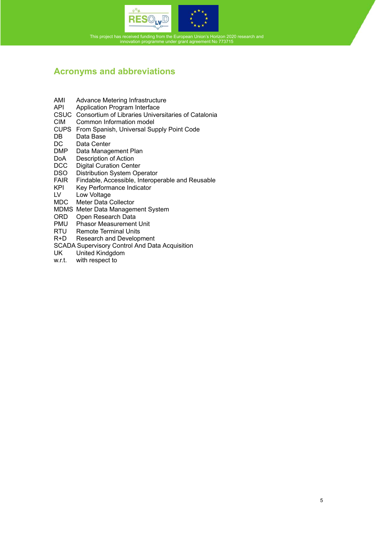



# **Acronyms and abbreviations**

- AMI Advance Metering Infrastructure<br>API Application Program Interface
- Application Program Interface
- CSUC Consortium of Libraries Universitaries of Catalonia
- CIM Common Information model
- CUPS From Spanish, Universal Supply Point Code
- DB Data Base
- DC Data Center<br>DMP Data Manage
- Data Management Plan
- DoA Description of Action<br>DCC Digital Curation Cente
- DCC Digital Curation Center<br>DSO Distribution System Ope
- Distribution System Operator
- FAIR Findable, Accessible, Interoperable and Reusable<br>KPI Key Performance Indicator
- KPI Key Performance Indicator<br>LV Low Voltage
- Low Voltage
- MDC Meter Data Collector
- MDMS Meter Data Management System
- ORD Open Research Data
- PMU Phasor Measurement Unit
- RTU Remote Terminal Units<br>R+D Research and Develop
- Research and Development
- SCADA Supervisory Control And Data Acquisition<br>UK United Kindgdom
- UK United Kindgdom<br>w.r.t. with respect to
- with respect to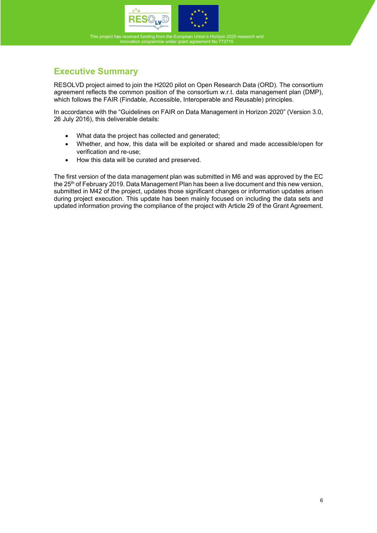

# **Executive Summary**

RESOLVD project aimed to join the H2020 pilot on Open Research Data (ORD). The consortium agreement reflects the common position of the consortium w.r.t. data management plan (DMP), which follows the FAIR (Findable, Accessible, Interoperable and Reusable) principles.

In accordance with the "Guidelines on FAIR on Data Management in Horizon 2020" (Version 3.0, 26 July 2016), this deliverable details:

- What data the project has collected and generated;
- Whether, and how, this data will be exploited or shared and made accessible/open for verification and re-use;
- How this data will be curated and preserved.

The first version of the data management plan was submitted in M6 and was approved by the EC the 25<sup>th</sup> of February 2019. Data Management Plan has been a live document and this new version, submitted in M42 of the project, updates those significant changes or information updates arisen during project execution. This update has been mainly focused on including the data sets and updated information proving the compliance of the project with Article 29 of the Grant Agreement.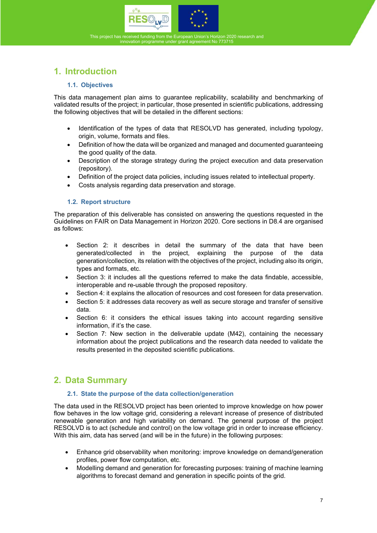



# **1. Introduction**

#### **1.1. Objectives**

This data management plan aims to guarantee replicability, scalability and benchmarking of validated results of the project; in particular, those presented in scientific publications, addressing the following objectives that will be detailed in the different sections:

- Identification of the types of data that RESOLVD has generated, including typology, origin, volume, formats and files.
- Definition of how the data will be organized and managed and documented guaranteeing the good quality of the data.
- Description of the storage strategy during the project execution and data preservation (repository).
- Definition of the project data policies, including issues related to intellectual property.
- Costs analysis regarding data preservation and storage.

#### **1.2. Report structure**

The preparation of this deliverable has consisted on answering the questions requested in the Guidelines on FAIR on Data Management in Horizon 2020. Core sections in D8.4 are organised as follows:

- Section 2: it describes in detail the summary of the data that have been generated/collected in the project, explaining the purpose of the data generation/collection, its relation with the objectives of the project, including also its origin, types and formats, etc.
- Section 3: it includes all the questions referred to make the data findable, accessible, interoperable and re-usable through the proposed repository.
- Section 4: it explains the allocation of resources and cost foreseen for data preservation.
- Section 5: it addresses data recovery as well as secure storage and transfer of sensitive data.
- Section 6: it considers the ethical issues taking into account regarding sensitive information, if it's the case.
- Section 7: New section in the deliverable update (M42), containing the necessary information about the project publications and the research data needed to validate the results presented in the deposited scientific publications.

# **2. Data Summary**

#### **2.1. State the purpose of the data collection/generation**

The data used in the RESOLVD project has been oriented to improve knowledge on how power flow behaves in the low voltage grid, considering a relevant increase of presence of distributed renewable generation and high variability on demand. The general purpose of the project RESOLVD is to act (schedule and control) on the low voltage grid in order to increase efficiency. With this aim, data has served (and will be in the future) in the following purposes:

- Enhance grid observability when monitoring: improve knowledge on demand/generation profiles, power flow computation, etc.
- Modelling demand and generation for forecasting purposes: training of machine learning algorithms to forecast demand and generation in specific points of the grid.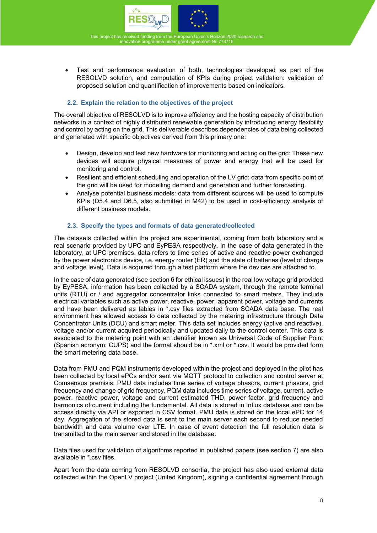



 Test and performance evaluation of both, technologies developed as part of the RESOLVD solution, and computation of KPIs during project validation: validation of proposed solution and quantification of improvements based on indicators.

#### **2.2. Explain the relation to the objectives of the project**

The overall objective of RESOLVD is to improve efficiency and the hosting capacity of distribution networks in a context of highly distributed renewable generation by introducing energy flexibility and control by acting on the grid. This deliverable describes dependencies of data being collected and generated with specific objectives derived from this primary one:

- Design, develop and test new hardware for monitoring and acting on the grid: These new devices will acquire physical measures of power and energy that will be used for monitoring and control.
- Resilient and efficient scheduling and operation of the LV grid: data from specific point of the grid will be used for modelling demand and generation and further forecasting.
- Analyse potential business models: data from different sources will be used to compute KPIs (D5.4 and D6.5, also submitted in M42) to be used in cost-efficiency analysis of different business models.

#### **2.3. Specify the types and formats of data generated/collected**

The datasets collected within the project are experimental, coming from both laboratory and a real scenario provided by UPC and EyPESA respectively. In the case of data generated in the laboratory, at UPC premises, data refers to time series of active and reactive power exchanged by the power electronics device, i.e. energy router (ER) and the state of batteries (level of charge and voltage level). Data is acquired through a test platform where the devices are attached to.

In the case of data generated (see section 6 for ethical issues) in the real low voltage grid provided by EyPESA, information has been collected by a SCADA system, through the remote terminal units (RTU) or / and aggregator concentrator links connected to smart meters. They include electrical variables such as active power, reactive, power, apparent power, voltage and currents and have been delivered as tables in \*.csv files extracted from SCADA data base. The real environment has allowed access to data collected by the metering infrastructure through Data Concentrator Units (DCU) and smart meter. This data set includes energy (active and reactive), voltage and/or current acquired periodically and updated daily to the control center. This data is associated to the metering point with an identifier known as Universal Code of Supplier Point (Spanish acronym: CUPS) and the format should be in \*.xml or \*.csv. It would be provided form the smart metering data base.

Data from PMU and PQM instruments developed within the project and deployed in the pilot has been collected by local ePCs and/or sent via MQTT protocol to collection and control server at Comsensus premisis. PMU data includes time series of voltage phasors, current phasors, grid frequency and change of grid frequency. PQM data includes time series of voltage, current, active power, reactive power, voltage and current estimated THD, power factor, grid frequency and harmonics of current including the fundamental. All data is stored in Influx database and can be access directly via API or exported in CSV format. PMU data is stored on the local ePC for 14 day. Aggregation of the stored data is sent to the main server each second to reduce needed bandwidth and data volume over LTE. In case of event detection the full resolution data is transmitted to the main server and stored in the database.

Data files used for validation of algorithms reported in published papers (see section 7) are also available in \*.csv files.

Apart from the data coming from RESOLVD consortia, the project has also used external data collected within the OpenLV project (United Kingdom), signing a confidential agreement through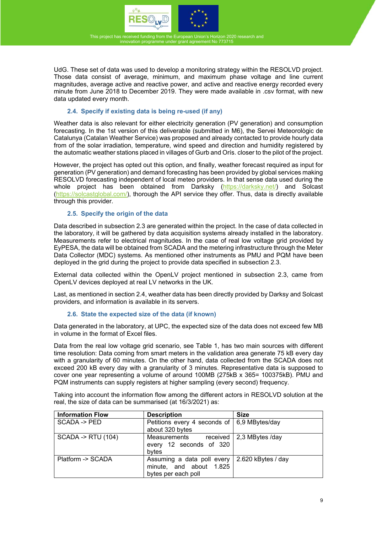



UdG. These set of data was used to develop a monitoring strategy within the RESOLVD project. Those data consist of average, minimum, and maximum phase voltage and line current magnitudes, average active and reactive power, and active and reactive energy recorded every minute from June 2018 to December 2019. They were made available in .csv format, with new data updated every month.

#### **2.4. Specify if existing data is being re-used (if any)**

Weather data is also relevant for either electricity generation (PV generation) and consumption forecasting. In the 1st version of this deliverable (submitted in M6), the Servei Meteorològic de Catalunya (Catalan Weather Service) was proposed and already contacted to provide hourly data from of the solar irradiation, temperature, wind speed and direction and humidity registered by the automatic weather stations placed in villages of Gurb and Orís. closer to the pilot of the project.

However, the project has opted out this option, and finally, weather forecast required as input for generation (PV generation) and demand forecasting has been provided by global services making RESOLVD forecasting independent of local meteo providers. In that sense data used during the whole project has been obtained from Darksky (https://darksky.net/) and Solcast (https://solcastglobal.com/), thorough the API service they offer. Thus, data is directly available through this provider.

#### **2.5. Specify the origin of the data**

Data described in subsection 2.3 are generated within the project. In the case of data collected in the laboratory, it will be gathered by data acquisition systems already installed in the laboratory. Measurements refer to electrical magnitudes. In the case of real low voltage grid provided by EyPESA, the data will be obtained from SCADA and the metering infrastructure through the Meter Data Collector (MDC) systems. As mentioned other instruments as PMU and PQM have been deployed in the grid during the project to provide data specified in subsection 2.3.

External data collected within the OpenLV project mentioned in subsection 2.3, came from OpenLV devices deployed at real LV networks in the UK.

Last, as mentioned in section 2.4, weather data has been directly provided by Darksy and Solcast providers, and information is available in its servers.

#### **2.6. State the expected size of the data (if known)**

Data generated in the laboratory, at UPC, the expected size of the data does not exceed few MB in volume in the format of Excel files.

Data from the real low voltage grid scenario, see Table 1, has two main sources with different time resolution: Data coming from smart meters in the validation area generate 75 kB every day with a granularity of 60 minutes. On the other hand, data collected from the SCADA does not exceed 200 kB every day with a granularity of 3 minutes. Representative data is supposed to cover one year representing a volume of around 100MB (275kB x 365= 100375kB). PMU and PQM instruments can supply registers at higher sampling (every second) frequency.

Taking into account the information flow among the different actors in RESOLVD solution at the real, the size of data can be summarised (at 16/3/2021) as:

| <b>Information Flow</b>      | <b>Description</b>                                                           | <b>Size</b>                      |
|------------------------------|------------------------------------------------------------------------------|----------------------------------|
| SCADA -> PED                 | Petitions every 4 seconds of 6,9 MBytes/day<br>about 320 bytes               |                                  |
| <b>SCADA -&gt; RTU (104)</b> | Measurements<br>every 12 seconds of 320<br>bytes                             | received $\vert$ 2,3 MBytes /day |
| Platform -> SCADA            | Assuming a data poll every<br>minute, and about 1.825<br>bytes per each poll | 2.620 kBytes / day               |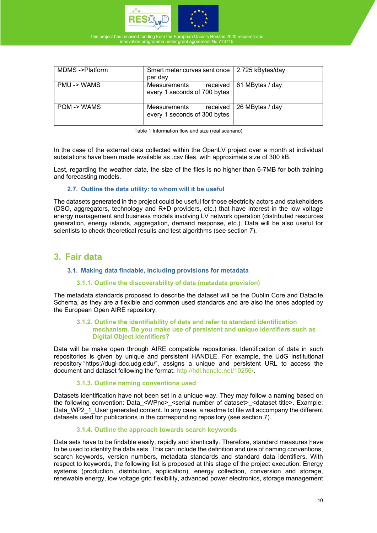

| MDMS->Platform | Smart meter curves sent once   2.725 kBytes/day<br>per day |                            |
|----------------|------------------------------------------------------------|----------------------------|
| PMU -> WAMS    | Measurements<br>every 1 seconds of 700 bytes               | received   61 MBytes / day |
| PQM -> WAMS    | received  <br>Measurements<br>every 1 seconds of 300 bytes | 26 MBytes / day            |

Table 1 Information flow and size (real scenario)

In the case of the external data collected within the OpenLV project over a month at individual substations have been made available as .csv files, with approximate size of 300 kB.

Last, regarding the weather data, the size of the files is no higher than 6-7MB for both training and forecasting models.

#### **2.7. Outline the data utility: to whom will it be useful**

The datasets generated in the project could be useful for those electricity actors and stakeholders (DSO, aggregators, technology and R+D providers, etc.) that have interest in the low voltage energy management and business models involving LV network operation (distributed resources generation, energy islands, aggregation, demand response, etc.). Data will be also useful for scientists to check theoretical results and test algorithms (see section 7).

### **3. Fair data**

#### **3.1. Making data findable, including provisions for metadata**

#### **3.1.1.Outline the discoverability of data (metadata provision)**

The metadata standards proposed to describe the dataset will be the Dublin Core and Datacite Schema, as they are a flexible and common used standards and are also the ones adopted by the European Open AIRE repository.

#### **3.1.2.Outline the identifiability of data and refer to standard identification mechanism. Do you make use of persistent and unique identifiers such as Digital Object Identifiers?**

Data will be make open through AIRE compatible repositories. Identification of data in such repositories is given by unique and persistent HANDLE. For example, the UdG institutional repository "https://dugi-doc.udg.edu/", assigns a unique and persistent URL to access the document and dataset following the format: http://hdl.handle.net/10256/.

#### **3.1.3.Outline naming conventions used**

Datasets identification have not been set in a unique way. They may follow a naming based on the following convention: Data <WPno> <serial number of dataset> <dataset title>. Example: Data WP2\_1\_User generated content. In any case, a readme txt file will accompany the different datasets used for publications in the corresponding repository (see section 7).

#### **3.1.4.Outline the approach towards search keywords**

Data sets have to be findable easily, rapidly and identically. Therefore, standard measures have to be used to identify the data sets. This can include the definition and use of naming conventions, search keywords, version numbers, metadata standards and standard data identifiers. With respect to keywords, the following list is proposed at this stage of the project execution: Energy systems (production, distribution, application), energy collection, conversion and storage, renewable energy, low voltage grid flexibility, advanced power electronics, storage management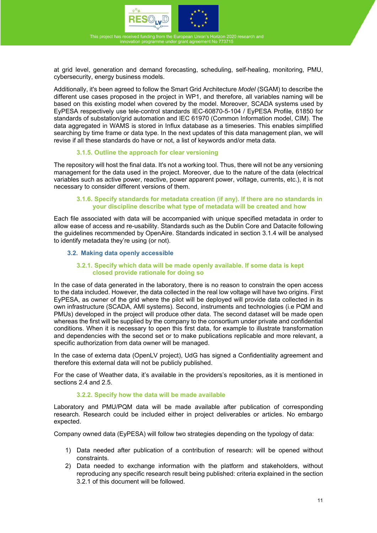



at grid level, generation and demand forecasting, scheduling, self-healing, monitoring, PMU, cybersecurity, energy business models.

Additionally, it's been agreed to follow the Smart Grid Architecture *Model* (SGAM) to describe the different use cases proposed in the project in WP1, and therefore, all variables naming will be based on this existing model when covered by the model. Moreover, SCADA systems used by EyPESA respectively use tele-control standards IEC-60870-5-104 / EyPESA Profile, 61850 for standards of substation/grid automation and IEC 61970 (Common Information model, CIM). The data aggregated in WAMS is stored in Influx database as a timeseries. This enables simplified searching by time frame or data type. In the next updates of this data management plan, we will revise if all these standards do have or not, a list of keywords and/or meta data.

#### **3.1.5.Outline the approach for clear versioning**

The repository will host the final data. It's not a working tool. Thus, there will not be any versioning management for the data used in the project. Moreover, due to the nature of the data (electrical variables such as active power, reactive, power apparent power, voltage, currents, etc.), it is not necessary to consider different versions of them.

#### **3.1.6.Specify standards for metadata creation (if any). If there are no standards in your discipline describe what type of metadata will be created and how**

Each file associated with data will be accompanied with unique specified metadata in order to allow ease of access and re-usability. Standards such as the Dublin Core and Datacite following the guidelines recommended by OpenAire. Standards indicated in section 3.1.4 will be analysed to identify metadata they're using (or not).

#### **3.2. Making data openly accessible**

#### **3.2.1.Specify which data will be made openly available. If some data is kept closed provide rationale for doing so**

In the case of data generated in the laboratory, there is no reason to constrain the open access to the data included. However, the data collected in the real low voltage will have two origins. First EyPESA, as owner of the grid where the pilot will be deployed will provide data collected in its own infrastructure (SCADA, AMI systems). Second, instruments and technologies (i.e PQM and PMUs) developed in the project will produce other data. The second dataset will be made open whereas the first will be supplied by the company to the consortium under private and confidential conditions. When it is necessary to open this first data, for example to illustrate transformation and dependencies with the second set or to make publications replicable and more relevant, a specific authorization from data owner will be managed.

In the case of externa data (OpenLV project), UdG has signed a Confidentiality agreement and therefore this external data will not be publicly published.

For the case of Weather data, it's available in the providers's repositories, as it is mentioned in sections 2.4 and 2.5.

#### **3.2.2.Specify how the data will be made available**

Laboratory and PMU/PQM data will be made available after publication of corresponding research. Research could be included either in project deliverables or articles. No embargo expected.

Company owned data (EyPESA) will follow two strategies depending on the typology of data:

- 1) Data needed after publication of a contribution of research: will be opened without constraints.
- 2) Data needed to exchange information with the platform and stakeholders, without reproducing any specific research result being published: criteria explained in the section 3.2.1 of this document will be followed.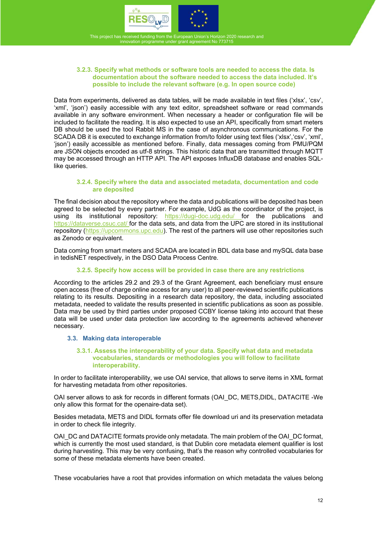



#### **3.2.3.Specify what methods or software tools are needed to access the data. Is documentation about the software needed to access the data included. It's possible to include the relevant software (e.g. In open source code)**

Data from experiments, delivered as data tables, will be made available in text files ('xlsx', 'csv', 'xml', 'json') easily accessible with any text editor, spreadsheet software or read commands available in any software environment. When necessary a header or configuration file will be included to facilitate the reading. It is also expected to use an API, specifically from smart meters DB should be used the tool Rabbit MS in the case of asynchronous communications. For the SCADA DB it is executed to exchange information from/to folder using text files ('xlsx','csv', 'xml', 'json') easily accessible as mentioned before. Finally, data messages coming from PMU/PQM are JSON objects encoded as utf-8 strings. This historic data that are transmitted through MQTT may be accessed through an HTTP API. The API exposes InfluxDB database and enables SQLlike queries.

#### **3.2.4.Specify where the data and associated metadata, documentation and code are deposited**

The final decision about the repository where the data and publications will be deposited has been agreed to be selected by every partner. For example, UdG as the coordinator of the project, is using its institutional repository: https://dugi-doc.udg.edu/ for the publications and https://dataverse.csuc.cat/ for the data sets, and data from the UPC are stored in its institutional repository (https://upcommons.upc.edu). The rest of the partners will use other repositories such as Zenodo or equivalent.

Data coming from smart meters and SCADA are located in BDL data base and mySQL data base in tedisNET respectively, in the DSO Data Process Centre.

#### **3.2.5.Specify how access will be provided in case there are any restrictions**

According to the articles 29.2 and 29.3 of the Grant Agreement, each beneficiary must ensure open access (free of charge online access for any user) to all peer-reviewed scientific publications relating to its results. Depositing in a research data repository, the data, including associated metadata, needed to validate the results presented in scientific publications as soon as possible. Data may be used by third parties under proposed CCBY license taking into account that these data will be used under data protection law according to the agreements achieved whenever necessary.

#### **3.3. Making data interoperable**

#### **3.3.1.Assess the interoperability of your data. Specify what data and metadata vocabularies, standards or methodologies you will follow to facilitate interoperability.**

In order to facilitate interoperability, we use OAI service, that allows to serve items in XML format for harvesting metadata from other repositories.

OAI server allows to ask for records in different formats (OAI\_DC, METS,DIDL, DATACITE -We only allow this format for the openaire-data set).

Besides metadata, METS and DIDL formats offer file download uri and its preservation metadata in order to check file integrity.

OAI\_DC and DATACITE formats provide only metadata. The main problem of the OAI\_DC format, which is currently the most used standard, is that Dublin core metadata element qualifier is lost during harvesting. This may be very confusing, that's the reason why controlled vocabularies for some of these metadata elements have been created.

These vocabularies have a root that provides information on which metadata the values belong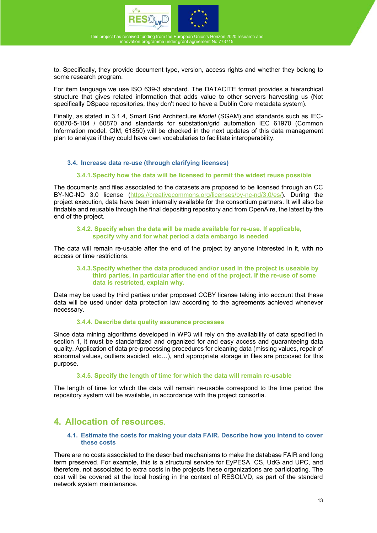

to. Specifically, they provide document type, version, access rights and whether they belong to some research program.

For item language we use ISO 639-3 standard. The DATACITE format provides a hierarchical structure that gives related information that adds value to other servers harvesting us (Not specifically DSpace repositories, they don't need to have a Dublin Core metadata system).

Finally, as stated in 3.1.4, Smart Grid Architecture *Model* (SGAM) and standards such as IEC-60870-5-104 / 60870 and standards for substation/grid automation IEC 61970 (Common Information model, CIM, 61850) will be checked in the next updates of this data management plan to analyze if they could have own vocabularies to facilitate interoperability.

#### **3.4. Increase data re-use (through clarifying licenses)**

#### **3.4.1. Specify how the data will be licensed to permit the widest reuse possible**

The documents and files associated to the datasets are proposed to be licensed through an CC BY-NC-ND 3.0 license (https://creativecommons.org/licenses/by-nc-nd/3.0/es/). During the project execution, data have been internally available for the consortium partners. It will also be findable and reusable through the final depositing repository and from OpenAire, the latest by the end of the project.

#### **3.4.2.Specify when the data will be made available for re-use. If applicable, specify why and for what period a data embargo is needed**

The data will remain re-usable after the end of the project by anyone interested in it, with no access or time restrictions.

#### **3.4.3. Specify whether the data produced and/or used in the project is useable by third parties, in particular after the end of the project. If the re-use of some data is restricted, explain why.**

Data may be used by third parties under proposed CCBY license taking into account that these data will be used under data protection law according to the agreements achieved whenever necessary.

#### **3.4.4.Describe data quality assurance processes**

Since data mining algorithms developed in WP3 will rely on the availability of data specified in section 1, it must be standardized and organized for and easy access and guaranteeing data quality. Application of data pre-processing procedures for cleaning data (missing values, repair of abnormal values, outliers avoided, etc…), and appropriate storage in files are proposed for this purpose.

#### **3.4.5.Specify the length of time for which the data will remain re-usable**

The length of time for which the data will remain re-usable correspond to the time period the repository system will be available, in accordance with the project consortia.

### **4. Allocation of resources.**

#### **4.1. Estimate the costs for making your data FAIR. Describe how you intend to cover these costs**

There are no costs associated to the described mechanisms to make the database FAIR and long term preserved. For example, this is a structural service for EyPESA, CS, UdG and UPC, and therefore, not associated to extra costs in the projects these organizations are participating. The cost will be covered at the local hosting in the context of RESOLVD, as part of the standard network system maintenance.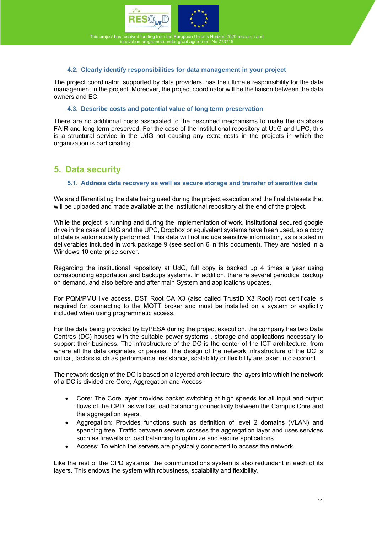



#### **4.2. Clearly identify responsibilities for data management in your project**

The project coordinator, supported by data providers, has the ultimate responsibility for the data management in the project. Moreover, the project coordinator will be the liaison between the data owners and EC.

#### **4.3. Describe costs and potential value of long term preservation**

There are no additional costs associated to the described mechanisms to make the database FAIR and long term preserved. For the case of the institutional repository at UdG and UPC, this is a structural service in the UdG not causing any extra costs in the projects in which the organization is participating.

### **5. Data security**

#### **5.1. Address data recovery as well as secure storage and transfer of sensitive data**

We are differentiating the data being used during the project execution and the final datasets that will be uploaded and made available at the institutional repository at the end of the project.

While the project is running and during the implementation of work, institutional secured google drive in the case of UdG and the UPC, Dropbox or equivalent systems have been used, so a copy of data is automatically performed. This data will not include sensitive information, as is stated in deliverables included in work package 9 (see section 6 in this document). They are hosted in a Windows 10 enterprise server.

Regarding the institutional repository at UdG, full copy is backed up 4 times a year using corresponding exportation and backups systems. In addition, there're several periodical backup on demand, and also before and after main System and applications updates.

For PQM/PMU live access, DST Root CA X3 (also called TrustID X3 Root) root certificate is required for connecting to the MQTT broker and must be installed on a system or explicitly included when using programmatic access.

For the data being provided by EyPESA during the project execution, the company has two Data Centres (DC) houses with the suitable power systems , storage and applications necessary to support their business. The infrastructure of the DC is the center of the ICT architecture, from where all the data originates or passes. The design of the network infrastructure of the DC is critical, factors such as performance, resistance, scalability or flexibility are taken into account.

The network design of the DC is based on a layered architecture, the layers into which the network of a DC is divided are Core, Aggregation and Access:

- Core: The Core layer provides packet switching at high speeds for all input and output flows of the CPD, as well as load balancing connectivity between the Campus Core and the aggregation layers.
- Aggregation: Provides functions such as definition of level 2 domains (VLAN) and spanning tree. Traffic between servers crosses the aggregation layer and uses services such as firewalls or load balancing to optimize and secure applications.
- Access: To which the servers are physically connected to access the network.

Like the rest of the CPD systems, the communications system is also redundant in each of its layers. This endows the system with robustness, scalability and flexibility.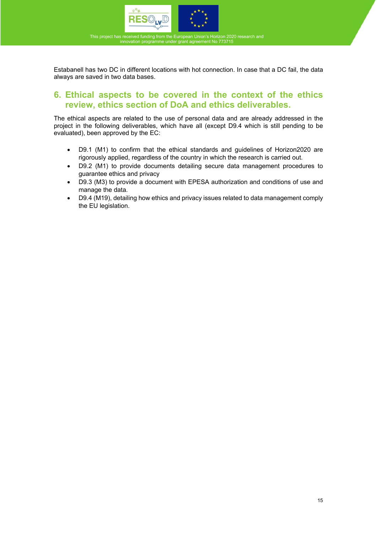



Estabanell has two DC in different locations with hot connection. In case that a DC fail, the data always are saved in two data bases.

### **6. Ethical aspects to be covered in the context of the ethics review, ethics section of DoA and ethics deliverables.**

The ethical aspects are related to the use of personal data and are already addressed in the project in the following deliverables, which have all (except D9.4 which is still pending to be evaluated), been approved by the EC:

- D9.1 (M1) to confirm that the ethical standards and guidelines of Horizon2020 are rigorously applied, regardless of the country in which the research is carried out.
- D9.2 (M1) to provide documents detailing secure data management procedures to guarantee ethics and privacy
- D9.3 (M3) to provide a document with EPESA authorization and conditions of use and manage the data.
- D9.4 (M19), detailing how ethics and privacy issues related to data management comply the EU legislation.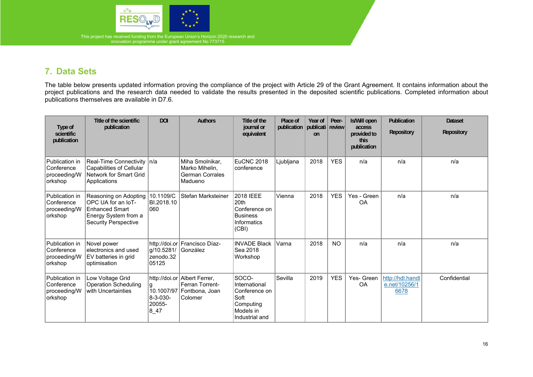

# **7. Data Sets**

The table below presents updated information proving the compliance of the project with Article 29 of the Grant Agreement. It contains information about the project publications and the research data needed to validate the results presented in the deposited scientific publications. Completed information about publications themselves are available in D7.6.

| Type of<br>scientific<br>publication                    | Title of the scientific<br>publication                                                                               | <b>DOI</b>                        | <b>Authors</b>                                                                          | Title of the<br>journal or<br>equivalent                                                    | Place of<br>publication | Year of<br>publicati review<br>on | Peer-      | Is/Will open<br>access<br>provided to<br>this<br>publication | Publication<br><b>Repository</b>          | <b>Dataset</b><br><b>Repository</b> |
|---------------------------------------------------------|----------------------------------------------------------------------------------------------------------------------|-----------------------------------|-----------------------------------------------------------------------------------------|---------------------------------------------------------------------------------------------|-------------------------|-----------------------------------|------------|--------------------------------------------------------------|-------------------------------------------|-------------------------------------|
| Publication in<br>Conference<br>proceeding/W<br>orkshop | Real-Time Connectivity   n/a<br>Capabilities of Cellular<br>Network for Smart Grid<br>Applications                   |                                   | Miha Smolnikar,<br>Marko Mihelin,<br>German Corrales<br>Madueno                         | <b>EuCNC 2018</b><br>conference                                                             | Ljubljana               | 2018                              | <b>YES</b> | n/a                                                          | n/a                                       | n/a                                 |
| Publication in<br>Conference<br>proceeding/W<br>orkshop | Reasoning on Adopting<br>OPC UA for an IoT-<br>Enhanced Smart<br>Energy System from a<br><b>Security Perspective</b> | 10.1109/C<br>BI.2018.10<br>060    | Stefan Marksteiner                                                                      | 2018 IEEE<br>20th<br>Conference on<br><b>Business</b><br>Informatics<br>(CBI)               | Vienna                  | 2018                              | <b>YES</b> | Yes - Green<br><b>OA</b>                                     | n/a                                       | n/a                                 |
| Publication in<br>Conference<br>proceeding/W<br>orkshop | Novel power<br>electronics and used<br>EV batteries in grid<br>optimisation                                          | g/10.5281/<br>zenodo.32<br>05125  | http://doi.or Francisco Díaz-<br>González                                               | <b>INVADE Black</b><br>Sea 2018<br>Workshop                                                 | Varna                   | 2018                              | <b>NO</b>  | n/a                                                          | n/a                                       | n/a                                 |
| Publication in<br>Conference<br>proceeding/W<br>orkshop | Low Voltage Grid<br><b>Operation Scheduling</b><br>with Uncertainties                                                | g<br>8-3-030-<br>20055-<br>$8-47$ | http://doi.or Albert Ferrer,<br>Ferran Torrent-<br>10.1007/97 Fontbona, Joan<br>Colomer | SOCO-<br>International<br>Conference on<br>Soft<br>Computing<br>Models in<br>Industrial and | Sevilla                 | 2019                              | <b>YES</b> | Yes- Green<br><b>OA</b>                                      | http://hdl.handl<br>e.net/10256/1<br>6678 | Confidential                        |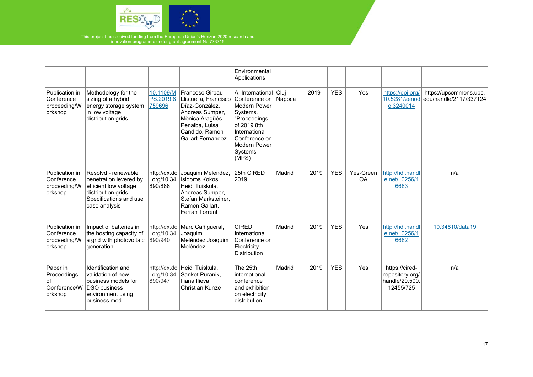

|                                                           |                                                                                                                                          |                                        |                                                                                                                                                            | Environmental<br>Applications                                                                                                                                            |        |      |            |                        |                                                                  |                                                  |
|-----------------------------------------------------------|------------------------------------------------------------------------------------------------------------------------------------------|----------------------------------------|------------------------------------------------------------------------------------------------------------------------------------------------------------|--------------------------------------------------------------------------------------------------------------------------------------------------------------------------|--------|------|------------|------------------------|------------------------------------------------------------------|--------------------------------------------------|
| Publication in<br>Conference<br>proceeding/W<br>orkshop   | Methodology for the<br>sizing of a hybrid<br>energy storage system<br>in low voltage<br>distribution grids                               | 10.1109/M<br>PS.2019.8<br>759696       | Francesc Girbau-<br>Llistuella, Francisco<br>Díaz-González,<br>Andreas Sumper,<br>Mònica Aragüés-<br>Penalba, Luisa<br>Candido, Ramon<br>Gallart-Fernandez | A: International Cluj-<br>Conference on<br>Modern Power<br>Systems.<br>"Proceedings<br>of 2019 8th<br>International<br>Conference on<br>Modern Power<br>Systems<br>(MPS) | Napoca | 2019 | <b>YES</b> | Yes                    | https://doi.org/<br>10.5281/zenod<br>0.3240014                   | https://upcommons.upc.<br>edu/handle/2117/337124 |
| Publication in<br>Conference<br>proceeding/W<br>orkshop   | Resolvd - renewable<br>penetration levered by<br>efficient low voltage<br>distribution grids.<br>Specifications and use<br>case analysis | http://dx.do<br>i.org/10.34<br>890/888 | Joaquim Melendez,<br>Isidoros Kokos.<br>Heidi Tuiskula,<br>Andreas Sumper,<br>Stefan Marksteiner.<br>Ramon Gallart,<br>Ferran Torrent                      | 25th CIRED<br>2019                                                                                                                                                       | Madrid | 2019 | <b>YES</b> | Yes-Green<br><b>OA</b> | http://hdl.handl<br>e.net/10256/1<br>6683                        | n/a                                              |
| Publication in<br>Conference<br>proceeding/W<br>orkshop   | Impact of batteries in<br>the hosting capacity of<br>a grid with photovoltaic<br>deneration                                              | i.org/10.34<br>890/940                 | http://dx.do Marc Cañigueral,<br>Joaquim<br>Meléndez, Joaquim<br>Meléndez                                                                                  | CIRED,<br>International<br>Conference on<br>Electricity<br><b>Distribution</b>                                                                                           | Madrid | 2019 | <b>YES</b> | Yes                    | http://hdl.handl<br>e.net/10256/1<br>6682                        | 10.34810/data19                                  |
| Paper in<br>Proceedings<br>lof<br>Conference/W<br>orkshop | Identification and<br>validation of new<br>business models for<br><b>DSO business</b><br>environment using<br>business mod               | i.org/10.34<br>890/947                 | http://dx.do Heidi Tuiskula,<br>Sanket Puranik,<br>Iliana Ilieva,<br>Christian Kunze                                                                       | The 25th<br>linternational<br>conference<br>and exhibition<br>on electricity<br>distribution                                                                             | Madrid | 2019 | <b>YES</b> | Yes                    | https://cired-<br>repository.org/<br>handle/20.500.<br>12455/725 | n/a                                              |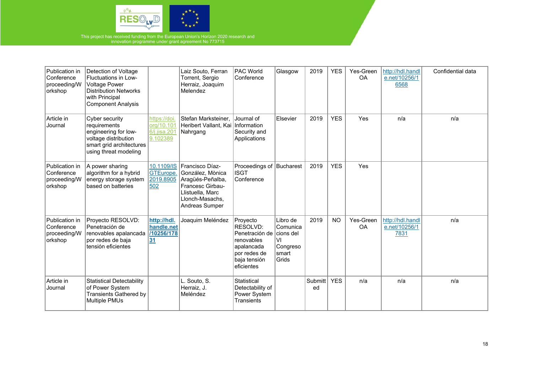

| Publication in<br>Conference<br>proceeding/W<br>orkshop | Detection of Voltage<br>Fluctuations in Low-<br><b>Voltage Power</b><br><b>Distribution Networks</b><br>with Principal<br><b>Component Analysis</b> |                                                        | Laiz Souto, Ferran<br>Torrent, Sergio<br>Herraiz, Joaquim<br>Melendez                                                                | <b>PAC World</b><br>Conference                                                                                             | Glasgow                                                  | 2019          | <b>YES</b> | Yes-Green<br>OA        | http://hdl.handl<br>e.net/10256/1<br>6568 | Confidential data |
|---------------------------------------------------------|-----------------------------------------------------------------------------------------------------------------------------------------------------|--------------------------------------------------------|--------------------------------------------------------------------------------------------------------------------------------------|----------------------------------------------------------------------------------------------------------------------------|----------------------------------------------------------|---------------|------------|------------------------|-------------------------------------------|-------------------|
| Article in<br>Journal                                   | Cyber security<br>requirements<br>engineering for low-<br>voltage distribution<br>smart grid architectures<br>using threat modeling                 | https://doi.<br>org/10.101<br>6/j.jisa.201<br>9.102389 | Stefan Marksteiner,<br>Heribert Vallant, Kai   Information<br>Nahrgang                                                               | Journal of<br>Security and<br>Applications                                                                                 | Elsevier                                                 | 2019          | <b>YES</b> | Yes                    | n/a                                       | n/a               |
| Publication in<br>Conference<br>proceeding/W<br>orkshop | A power sharing<br>algorithm for a hybrid<br>energy storage system<br>based on batteries                                                            | 10.1109/IS<br>GTEurope.<br>2019.8905<br>502            | Francisco Díaz-<br>González, Mònica<br>Aragüés-Peñalba,<br>Francesc Girbau-<br>Llistuella, Marc<br>Llonch-Masachs,<br>Andreas Sumper | Proceedings of Bucharest<br><b>ISGT</b><br>Conference                                                                      |                                                          | 2019          | <b>YES</b> | Yes                    |                                           |                   |
| Publication in<br>Conference<br>proceeding/W<br>orkshop | Proyecto RESOLVD:<br>Penetración de<br>renovables apalancada<br>por redes de baja<br>tensión eficientes                                             | http://hdl.<br>handle.net<br>/10256/178<br>31          | Joaquim Meléndez                                                                                                                     | Proyecto<br>RESOLVD:<br>Penetración de cions del<br>renovables<br>apalancada<br>por redes de<br>baja tensión<br>eficientes | Libro de<br>Comunica<br>V١<br>Congreso<br>smart<br>Grids | 2019          | <b>NO</b>  | Yes-Green<br><b>OA</b> | http://hdl.handl<br>e.net/10256/1<br>7831 | n/a               |
| Article in<br>Journal                                   | <b>Statistical Detectability</b><br>of Power System<br><b>Transients Gathered by</b><br>Multiple PMUs                                               |                                                        | L. Souto, S.<br>Herraiz, J.<br>Meléndez                                                                                              | Statistical<br>Detectability of<br>Power System<br>Transients                                                              |                                                          | Submitt<br>ed | <b>YES</b> | n/a                    | n/a                                       | n/a               |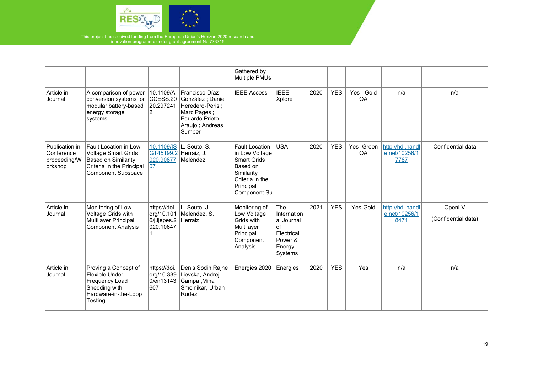

|                                                         |                                                                                                                                             |                                                         |                                                                                                                        | Gathered by<br>Multiple PMUs                                                                                                            |                                                                                          |      |            |                  |                                           |                               |
|---------------------------------------------------------|---------------------------------------------------------------------------------------------------------------------------------------------|---------------------------------------------------------|------------------------------------------------------------------------------------------------------------------------|-----------------------------------------------------------------------------------------------------------------------------------------|------------------------------------------------------------------------------------------|------|------------|------------------|-------------------------------------------|-------------------------------|
| Article in<br>Journal                                   | A comparison of power<br>conversion systems for<br>modular battery-based<br>energy storage<br>systems                                       | 10.1109/A<br>CCESS.20<br>20.297241                      | Francisco Díaz-<br>González ; Daniel<br>Heredero-Peris:<br>Marc Pages;<br>Eduardo Prieto-<br>Araujo; Andreas<br>Sumper | <b>IEEE Access</b>                                                                                                                      | <b>IEEE</b><br>Xplore                                                                    | 2020 | <b>YES</b> | Yes - Gold<br>OA | n/a                                       | n/a                           |
| Publication in<br>Conference<br>proceeding/W<br>orkshop | Fault Location in Low<br><b>Voltage Smart Grids</b><br><b>Based on Similarity</b><br>Criteria in the Principal<br><b>Component Subspace</b> | 10.1109/IS<br>GT45199.2<br>020.90877<br>107             | L. Souto, S.<br>Herraiz, J.<br>Meléndez                                                                                | <b>Fault Location</b><br>in Low Voltage<br><b>Smart Grids</b><br>Based on<br>Similarity<br>Criteria in the<br>Principal<br>Component Su | <b>USA</b>                                                                               | 2020 | <b>YES</b> | Yes- Green<br>OA | http://hdl.handl<br>e.net/10256/1<br>7787 | Confidential data             |
| Article in<br>Journal                                   | Monitoring of Low<br>Voltage Grids with<br>Multilayer Principal<br><b>Component Analysis</b>                                                | https://doi.<br>org/10.101<br>6/j.ijepes.2<br>020.10647 | L. Souto, J.<br>Meléndez, S.<br>Herraiz                                                                                | Monitoring of<br>Low Voltage<br>Grids with<br>Multilayer<br>Principal<br>Component<br>Analysis                                          | The<br>Internation<br>al Journal<br>$ $ of<br>Electrical<br>Power &<br>Energy<br>Systems | 2021 | <b>YES</b> | Yes-Gold         | http://hdl.handl<br>e.net/10256/1<br>8471 | OpenLV<br>(Confidential data) |
| Article in<br>Journal                                   | Proving a Concept of<br>Flexible Under-<br>Frequency Load<br>Shedding with<br>Hardware-in-the-Loop<br>Testing                               | https://doi.<br>org/10.339<br>0/en13143<br>607          | Denis Sodin, Rajne<br>Ilievska, Andrej<br>Čampa , Miha<br>Smolnikar, Urban<br>Rudez                                    | Energies 2020                                                                                                                           | Energies                                                                                 | 2020 | <b>YES</b> | Yes              | n/a                                       | n/a                           |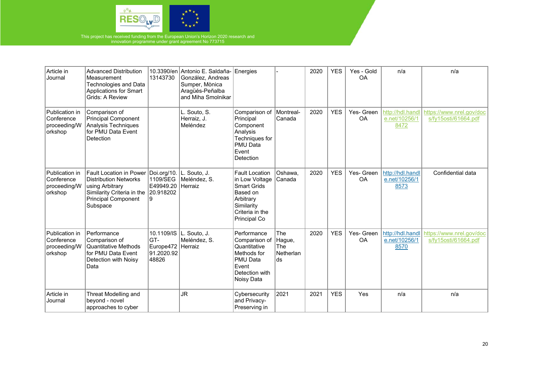

| Article in<br>Journal                                   | <b>Advanced Distribution</b><br>Measurement<br><b>Technologies and Data</b><br><b>Applications for Smart</b><br>Grids: A Review                           | 13143730                                                      | 10.3390/en Antonio E. Saldaña- Energies<br>González, Andreas<br>Sumper, Mònica<br>Aragüés-Peñalba<br>and Miha Smolnikar |                                                                                                                                                |                                       | 2020 | <b>YES</b> | Yes - Gold<br><b>OA</b> | n/a                                       | n/a                                              |
|---------------------------------------------------------|-----------------------------------------------------------------------------------------------------------------------------------------------------------|---------------------------------------------------------------|-------------------------------------------------------------------------------------------------------------------------|------------------------------------------------------------------------------------------------------------------------------------------------|---------------------------------------|------|------------|-------------------------|-------------------------------------------|--------------------------------------------------|
| Publication in<br>Conference<br>proceeding/W<br>orkshop | Comparison of<br>Principal Component<br>Analysis Techniques<br>for PMU Data Event<br>Detection                                                            |                                                               | L. Souto, S.<br>Herraiz, J.<br>Meléndez                                                                                 | Comparison of<br>Principal<br>Component<br>Analysis<br>Techniques for<br><b>PMU Data</b><br>Event<br>Detection                                 | Montreal-<br>Canada                   | 2020 | <b>YES</b> | Yes- Green<br><b>OA</b> | http://hdl.handl<br>e.net/10256/1<br>8472 | https://www.nrel.gov/doc<br>s/fy15osti/61664.pdf |
| Publication in<br>Conference<br>proceeding/W<br>orkshop | <b>Fault Location in Power</b><br><b>Distribution Networks</b><br>using Arbitrary<br>Similarity Criteria in the<br><b>Principal Component</b><br>Subspace | Doi.org/10.<br>1109/SEG<br>E49949.20<br>20.918202<br>Ι9       | L. Souto, J.<br>Meléndez, S.<br><b>Herraiz</b>                                                                          | <b>Fault Location</b><br>in Low Voltage Canada<br><b>Smart Grids</b><br>Based on<br>Arbitrary<br>Similarity<br>Criteria in the<br>Principal Co | Oshawa,                               | 2020 | <b>YES</b> | Yes- Green<br>OA        | http://hdl.handl<br>e.net/10256/1<br>8573 | Confidential data                                |
| Publication in<br>Conference<br>proceeding/W<br>orkshop | Performance<br>Comparison of<br><b>Quantitative Methods</b><br>for PMU Data Event<br>Detection with Noisy<br>Data                                         | 10.1109/IS<br>GT-<br>Europe472 Herraiz<br>91.2020.92<br>48826 | L. Souto, J.<br>Meléndez, S.                                                                                            | Performance<br>Comparison of Hague,<br>Quantitative<br>Methods for<br>PMU Data<br>Event<br>Detection with<br>Noisy Data                        | The<br><b>The</b><br>Netherlan<br>lds | 2020 | <b>YES</b> | Yes- Green<br>OA        | http://hdl.handl<br>e.net/10256/1<br>8570 | https://www.nrel.gov/doc<br>s/fy15osti/61664.pdf |
| Article in<br>Journal                                   | Threat Modelling and<br>beyond - novel<br>approaches to cyber                                                                                             |                                                               | <b>JR</b>                                                                                                               | Cybersecurity<br>and Privacy-<br>Preserving in                                                                                                 | 2021                                  | 2021 | <b>YES</b> | Yes                     | n/a                                       | n/a                                              |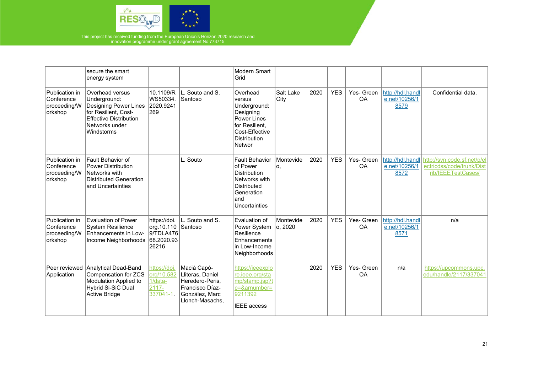

|                                                         | secure the smart<br>energy system                                                                                                                 |                                                                        |                                                                                                            | Modern Smart<br>Grid                                                                                                                   |                       |      |            |                         |                                           |                                                                                |
|---------------------------------------------------------|---------------------------------------------------------------------------------------------------------------------------------------------------|------------------------------------------------------------------------|------------------------------------------------------------------------------------------------------------|----------------------------------------------------------------------------------------------------------------------------------------|-----------------------|------|------------|-------------------------|-------------------------------------------|--------------------------------------------------------------------------------|
| Publication in<br>Conference<br>proceeding/W<br>orkshop | Overhead versus<br>Underground:<br>Designing Power Lines<br>for Resilient, Cost-<br><b>Effective Distribution</b><br>Networks under<br>Windstorms | 10.1109/R<br>WS50334.<br>2020.9241<br>269                              | L. Souto and S.<br>Santoso                                                                                 | Overhead<br>versus<br>Underground:<br>Designing<br><b>Power Lines</b><br>for Resilient,<br>Cost-Effective<br>Distribution<br>Networ    | Salt Lake<br> City    | 2020 | <b>YES</b> | Yes- Green<br>OA        | http://hdl.handl<br>e.net/10256/1<br>8579 | Confidential data.                                                             |
| Publication in<br>Conference<br>proceeding/W<br>orkshop | Fault Behavior of<br><b>Power Distribution</b><br>Networks with<br><b>Distributed Generation</b><br>and Uncertainties                             |                                                                        | L. Souto                                                                                                   | <b>Fault Behavior</b><br>of Power<br><b>Distribution</b><br>Networks with<br><b>Distributed</b><br>Generation<br>land<br>Uncertainties | Montevide<br>о.       | 2020 | <b>YES</b> | Yes- Green<br><b>OA</b> | http://hdl.handl<br>e.net/10256/1<br>8572 | http://svn.code.sf.net/p/el<br>ectricdss/code/trunk/Dist<br>rib/IEEETestCases/ |
| Publication in<br>Conference<br>proceeding/W<br>orkshop | <b>Evaluation of Power</b><br><b>System Resilience</b><br>Enhancements in Low-<br>Income Neighborhoods                                            | https://doi.<br>org.10.110 Santoso<br>9/TDLA476<br>68.2020.93<br>26216 | L. Souto and S.                                                                                            | Evaluation of<br>Power System<br>Resilience<br>Enhancements<br>in Low-Income<br>Neighborhoods                                          | Montevide<br> o, 2020 | 2020 | <b>YES</b> | Yes- Green<br>OA        | http://hdl.handl<br>e.net/10256/1<br>8571 | n/a                                                                            |
| Peer reviewed<br>Application                            | Analytical Dead-Band<br>Compensation for ZCS<br>Modulation Applied to<br>Hybrid Si-SiC Dual<br>Active Bridge                                      | https://doi.<br>org/10.582<br>$1/data-$<br>$2117 -$<br>337041-1.       | Macià Capó-<br>Lliteras, Daniel<br>Heredero-Peris,<br>Francisco Díaz-<br>González, Marc<br>Llonch-Masachs, | https://ieeexplo<br>re.ieee.org/sta<br>mp/stamp.jsp?t<br>p=&arnumber=<br>9211392<br><b>IEEE</b> access                                 |                       | 2020 | <b>YES</b> | Yes- Green<br>OA        | n/a                                       | https://upcommons.upc.<br>edu/handle/2117/337041                               |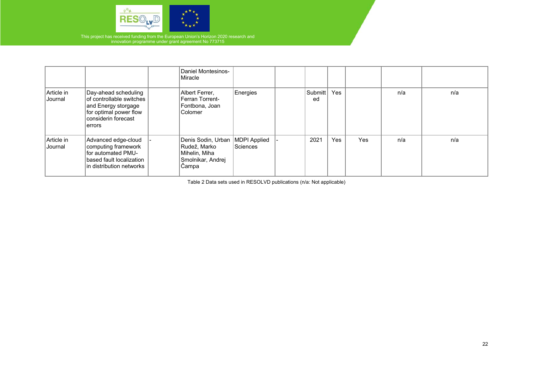

|                       |                                                                                                                                     | <b>Daniel Montesinos-</b><br>Miracle                                                             |          |               |            |     |     |     |
|-----------------------|-------------------------------------------------------------------------------------------------------------------------------------|--------------------------------------------------------------------------------------------------|----------|---------------|------------|-----|-----|-----|
| Article in<br>Journal | Day-ahead scheduling<br>of controllable switches<br>and Energy storgage<br>for optimal power flow<br>considerin forecast<br>lerrors | Albert Ferrer,<br>Ferran Torrent-<br>Fontbona, Joan<br>Colomer                                   | Energies | Submitt<br>ed | <b>Yes</b> |     | n/a | n/a |
| Article in<br>Journal | Advanced edge-cloud<br>computing framework<br>for automated PMU-<br>based fault localization<br>lin distribution networks           | Denis Sodin, Urban   MDPI Applied<br>Rudež, Marko<br>Mihelin, Miha<br>Smolnikar, Andrej<br>Campa | Sciences | 2021          | <b>Yes</b> | Yes | n/a | n/a |

Table 2 Data sets used in RESOLVD publications (n/a: Not applicable)